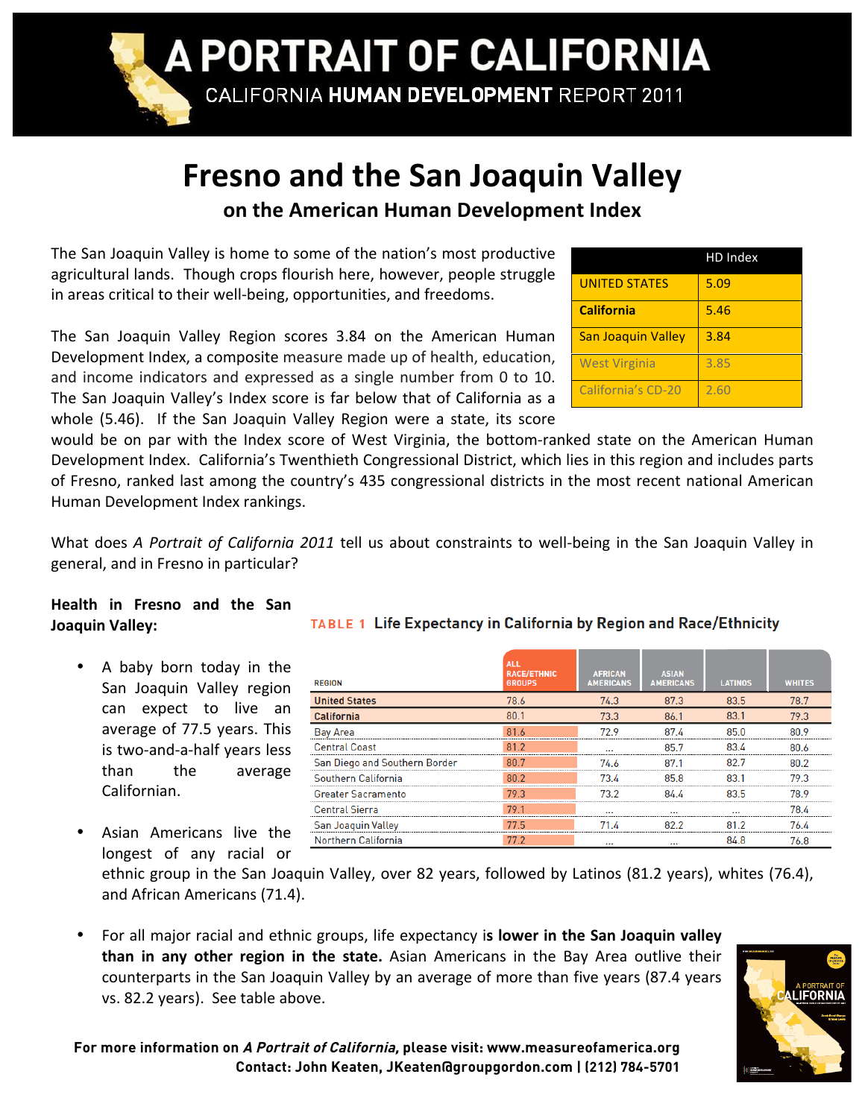

## **Fresno
and
the
San
Joaquin
Valley on
the
American
Human
Development
Index**

The
San
Joaquin
Valley
is
home
to
some
of
the
nation's
most
productive agricultural
lands.

Though
crops
flourish
here,
however,
people
struggle in areas critical to their well-being, opportunities, and freedoms.

The San Joaquin Valley Region scores 3.84 on the American Human Development
Index,
a
composite
measure
made
up
of
health,
education, and income indicators and expressed as a single number from 0 to 10. The San Joaquin Valley's Index score is far below that of California as a whole (5.46). If the San Joaquin Valley Region were a state, its score

|                           | HD Index |
|---------------------------|----------|
| <b>UNITED STATES</b>      | 5.09     |
| <b>California</b>         | 5.46     |
| <b>San Joaquin Valley</b> | 3.84     |
| <b>West Virginia</b>      | 3.85     |
| California's CD-20        | 2.60     |

would be on par with the Index score of West Virginia, the bottom-ranked state on the American Human Development Index. California's Twenthieth Congressional District, which lies in this region and includes parts of Fresno, ranked last among the country's 435 congressional districts in the most recent national American Human
Development
Index
rankings.

What does A Portrait of California 2011 tell us about constraints to well-being in the San Joaquin Valley in general,
and
in
Fresno
in
particular?

## **Health
 in
 Fresno
 and
 the
 San Joaquin
Valley:**

- A baby born today in the San
 Joaquin
 Valley
 region can expect to live an average
of
77.5
years.
This is
two‐and‐a‐half
years
less than
 the
 average Californian.
- Asian Americans live the longest of any racial or

| ABLE 1 Life Expectancy in California by Region and Race/Ethnicity |  |  |
|-------------------------------------------------------------------|--|--|
|                                                                   |  |  |

| <b>REGION</b>                 | <b>ALL</b><br><b>RACE/ETHNIC</b><br><b>GROUPS</b> | <b>AFRICAN</b><br><b>AMERICANS</b> | <b>ASIAN</b><br><b>AMERICANS</b> | <b>LATINOS</b> | <b>WHITES</b> |
|-------------------------------|---------------------------------------------------|------------------------------------|----------------------------------|----------------|---------------|
| <b>United States</b>          | 78.6                                              | 74.3                               | 87.3                             | 83.5           | 78.7          |
| <b>California</b>             | 80.1                                              | 73.3                               | 86.1                             | 83.1           | 79.3          |
| <b>Bay Area</b>               | 81.6                                              | 72 9                               | 874                              | 85.0           | 80.9          |
| <b>Central Coast</b>          | 81.2                                              |                                    | 85.7                             | 83.4           | 80 የ          |
| San Diego and Southern Border | 80.7                                              | 74.6                               | 87.1                             | 82.7           | 80 2          |
| Southern California           | 80.2                                              | 73.4                               | 85.8                             | 83.1           | 79.3          |
| <b>Greater Sacramento</b>     | 79.3                                              | 73.2                               | 84 A                             | 83.5           | 78.9          |
| <b>Central Sierra</b>         | 79.1                                              |                                    |                                  |                | 78.4          |
| <b>San Joaquin Valley</b>     | 77.5                                              | 71.4                               | 822                              | 81.2           | 76.4          |
| Northern California           | 77.2                                              |                                    |                                  | 84.8           | 76.8          |

ethnic group in the San Joaquin Valley, over 82 years, followed by Latinos (81.2 years), whites (76.4), and
African
Americans
(71.4).

For all major racial and ethnic groups, life expectancy is lower in the San Joaquin valley than in any other region in the state. Asian Americans in the Bay Area outlive their counterparts in the San Joaquin Valley by an average of more than five years (87.4 years vs.
82.2
years).

See
table
above.



**For more information on A Portrait of California, please visit: www.measureofamerica.org Contact: John Keaten, JKeaten@groupgordon.com | (212) 784-5701**